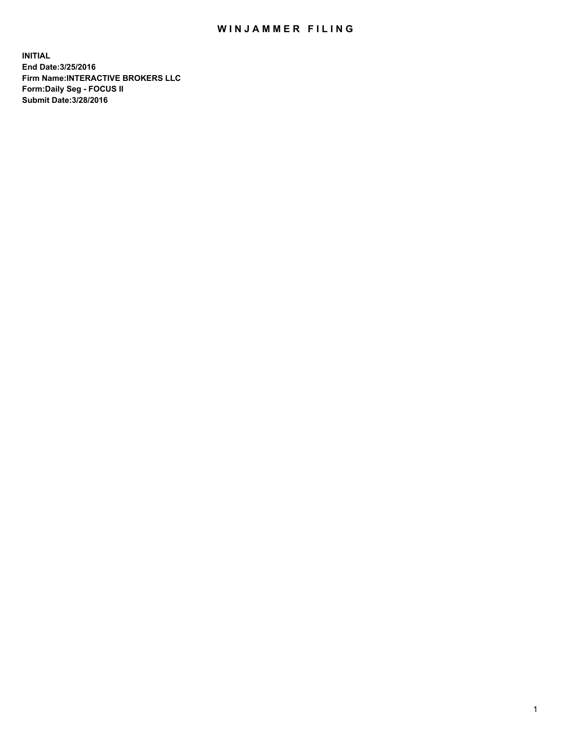## WIN JAMMER FILING

**INITIAL End Date:3/25/2016 Firm Name:INTERACTIVE BROKERS LLC Form:Daily Seg - FOCUS II Submit Date:3/28/2016**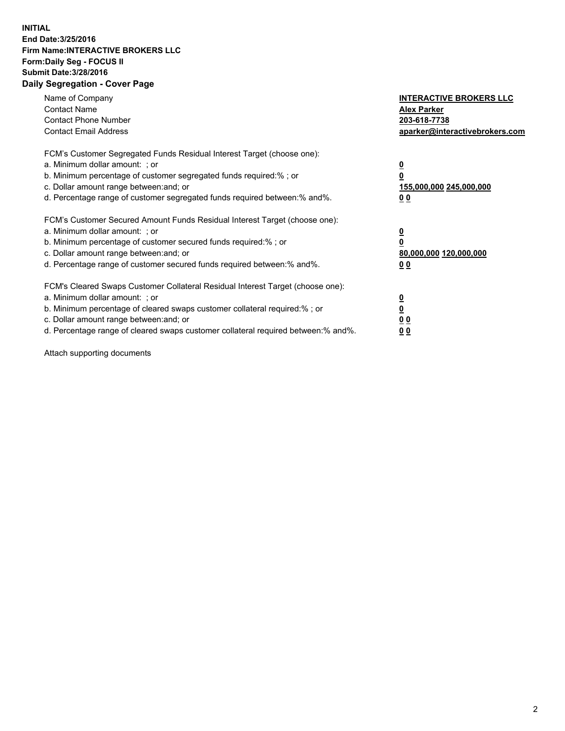## **INITIAL End Date:3/25/2016 Firm Name:INTERACTIVE BROKERS LLC Form:Daily Seg - FOCUS II Submit Date:3/28/2016 Daily Segregation - Cover Page**

| Name of Company<br><b>Contact Name</b><br><b>Contact Phone Number</b><br><b>Contact Email Address</b>                                                                                                                                                                                                                          | <b>INTERACTIVE BROKERS LLC</b><br><b>Alex Parker</b><br>203-618-7738<br>aparker@interactivebrokers.com |
|--------------------------------------------------------------------------------------------------------------------------------------------------------------------------------------------------------------------------------------------------------------------------------------------------------------------------------|--------------------------------------------------------------------------------------------------------|
| FCM's Customer Segregated Funds Residual Interest Target (choose one):<br>a. Minimum dollar amount: ; or<br>b. Minimum percentage of customer segregated funds required:%; or<br>c. Dollar amount range between: and; or<br>d. Percentage range of customer segregated funds required between:% and%.                          | <u>0</u><br>155,000,000 245,000,000<br><u>00</u>                                                       |
| FCM's Customer Secured Amount Funds Residual Interest Target (choose one):<br>a. Minimum dollar amount: ; or<br>b. Minimum percentage of customer secured funds required:% ; or<br>c. Dollar amount range between: and; or<br>d. Percentage range of customer secured funds required between: % and %.                         | <u>0</u><br>80,000,000 120,000,000<br><u>00</u>                                                        |
| FCM's Cleared Swaps Customer Collateral Residual Interest Target (choose one):<br>a. Minimum dollar amount: ; or<br>b. Minimum percentage of cleared swaps customer collateral required:% ; or<br>c. Dollar amount range between: and; or<br>d. Percentage range of cleared swaps customer collateral required between:% and%. | <u>0</u><br>0 <sub>0</sub><br>0 <sub>0</sub>                                                           |

Attach supporting documents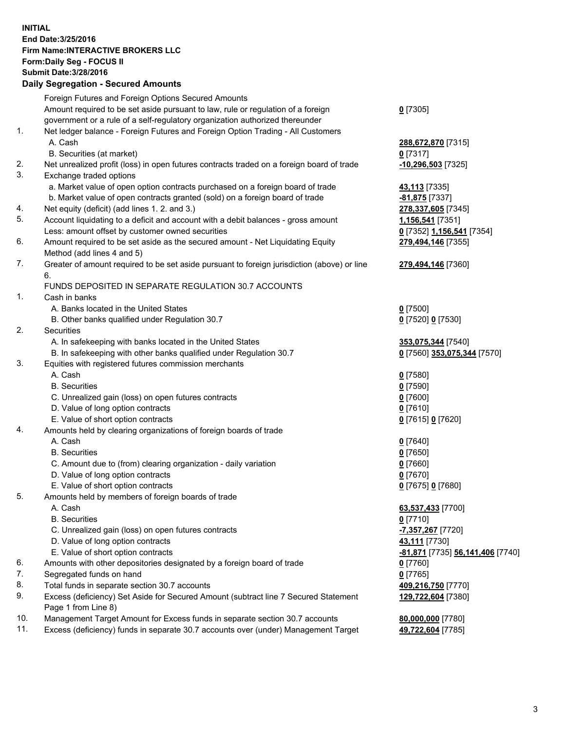## **INITIAL End Date:3/25/2016 Firm Name:INTERACTIVE BROKERS LLC Form:Daily Seg - FOCUS II Submit Date:3/28/2016 Daily Segregation - Secured Amounts**

|     | Dany Ocgregation - Oceanea Amounts                                                          |                                  |
|-----|---------------------------------------------------------------------------------------------|----------------------------------|
|     | Foreign Futures and Foreign Options Secured Amounts                                         |                                  |
|     | Amount required to be set aside pursuant to law, rule or regulation of a foreign            | $0$ [7305]                       |
|     | government or a rule of a self-regulatory organization authorized thereunder                |                                  |
| 1.  | Net ledger balance - Foreign Futures and Foreign Option Trading - All Customers             |                                  |
|     | A. Cash                                                                                     | 288,672,870 [7315]               |
|     | B. Securities (at market)                                                                   | $0$ [7317]                       |
| 2.  | Net unrealized profit (loss) in open futures contracts traded on a foreign board of trade   | $-10,296,503$ [7325]             |
| 3.  | Exchange traded options                                                                     |                                  |
|     | a. Market value of open option contracts purchased on a foreign board of trade              | <b>43,113</b> [7335]             |
|     | b. Market value of open contracts granted (sold) on a foreign board of trade                | -81,875 [7337]                   |
| 4.  | Net equity (deficit) (add lines 1.2. and 3.)                                                | 278,337,605 [7345]               |
| 5.  | Account liquidating to a deficit and account with a debit balances - gross amount           | 1,156,541 [7351]                 |
|     | Less: amount offset by customer owned securities                                            | 0 [7352] 1,156,541 [7354]        |
| 6.  | Amount required to be set aside as the secured amount - Net Liquidating Equity              | 279,494,146 [7355]               |
|     | Method (add lines 4 and 5)                                                                  |                                  |
| 7.  | Greater of amount required to be set aside pursuant to foreign jurisdiction (above) or line | 279,494,146 [7360]               |
|     | 6.                                                                                          |                                  |
|     | FUNDS DEPOSITED IN SEPARATE REGULATION 30.7 ACCOUNTS                                        |                                  |
| 1.  | Cash in banks                                                                               |                                  |
|     | A. Banks located in the United States                                                       | $0$ [7500]                       |
|     | B. Other banks qualified under Regulation 30.7                                              | 0 [7520] 0 [7530]                |
| 2.  | Securities                                                                                  |                                  |
|     | A. In safekeeping with banks located in the United States                                   | 353,075,344 [7540]               |
|     | B. In safekeeping with other banks qualified under Regulation 30.7                          | 0 [7560] 353,075,344 [7570]      |
| 3.  | Equities with registered futures commission merchants                                       |                                  |
|     | A. Cash                                                                                     | $0$ [7580]                       |
|     | <b>B.</b> Securities                                                                        | $0$ [7590]                       |
|     | C. Unrealized gain (loss) on open futures contracts                                         | $0$ [7600]                       |
|     | D. Value of long option contracts                                                           | $0$ [7610]                       |
|     | E. Value of short option contracts                                                          | 0 [7615] 0 [7620]                |
| 4.  | Amounts held by clearing organizations of foreign boards of trade                           |                                  |
|     | A. Cash                                                                                     | $0$ [7640]                       |
|     | <b>B.</b> Securities                                                                        | $0$ [7650]                       |
|     | C. Amount due to (from) clearing organization - daily variation                             | $0$ [7660]                       |
|     | D. Value of long option contracts                                                           | $0$ [7670]                       |
|     | E. Value of short option contracts                                                          | 0 [7675] 0 [7680]                |
| 5.  | Amounts held by members of foreign boards of trade                                          |                                  |
|     | A. Cash                                                                                     | 63,537,433 [7700]                |
|     | <b>B.</b> Securities                                                                        | $0$ [7710]                       |
|     | C. Unrealized gain (loss) on open futures contracts                                         | -7,357,267 [7720]                |
|     | D. Value of long option contracts                                                           | 43,111 [7730]                    |
|     | E. Value of short option contracts                                                          | -81,871 [7735] 56,141,406 [7740] |
| 6.  | Amounts with other depositories designated by a foreign board of trade                      | $0$ [7760]                       |
| 7.  | Segregated funds on hand                                                                    | $0$ [7765]                       |
| 8.  | Total funds in separate section 30.7 accounts                                               | 409,216,750 [7770]               |
| 9.  | Excess (deficiency) Set Aside for Secured Amount (subtract line 7 Secured Statement         | 129,722,604 [7380]               |
|     | Page 1 from Line 8)                                                                         |                                  |
| 10. | Management Target Amount for Excess funds in separate section 30.7 accounts                 | 80,000,000 [7780]                |
| 11. | Excess (deficiency) funds in separate 30.7 accounts over (under) Management Target          | 49,722,604 [7785]                |
|     |                                                                                             |                                  |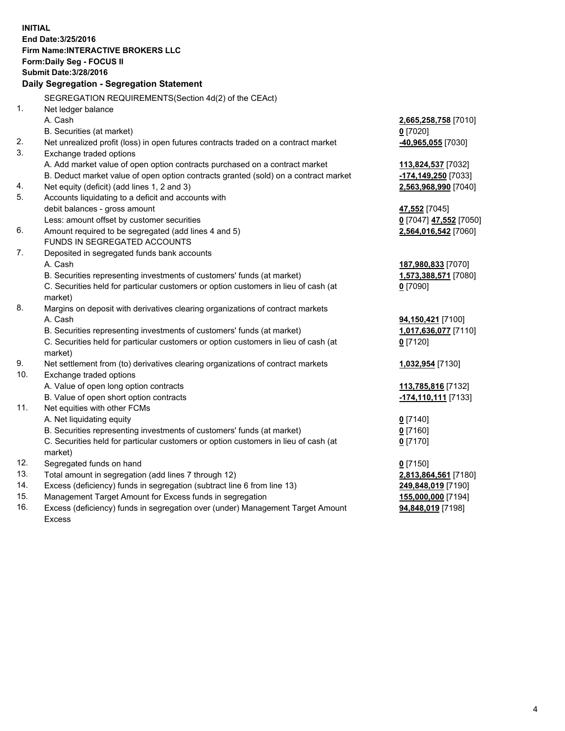**INITIAL End Date:3/25/2016 Firm Name:INTERACTIVE BROKERS LLC Form:Daily Seg - FOCUS II Submit Date:3/28/2016 Daily Segregation - Segregation Statement** SEGREGATION REQUIREMENTS(Section 4d(2) of the CEAct) 1. Net ledger balance A. Cash **2,665,258,758** [7010] B. Securities (at market) **0** [7020] 2. Net unrealized profit (loss) in open futures contracts traded on a contract market **-40,965,055** [7030] 3. Exchange traded options A. Add market value of open option contracts purchased on a contract market **113,824,537** [7032] B. Deduct market value of open option contracts granted (sold) on a contract market **-174,149,250** [7033] 4. Net equity (deficit) (add lines 1, 2 and 3) **2,563,968,990** [7040] 5. Accounts liquidating to a deficit and accounts with debit balances - gross amount **47,552** [7045] Less: amount offset by customer securities **0** [7047] **47,552** [7050] 6. Amount required to be segregated (add lines 4 and 5) **2,564,016,542** [7060] FUNDS IN SEGREGATED ACCOUNTS 7. Deposited in segregated funds bank accounts A. Cash **187,980,833** [7070] B. Securities representing investments of customers' funds (at market) **1,573,388,571** [7080] C. Securities held for particular customers or option customers in lieu of cash (at market) **0** [7090] 8. Margins on deposit with derivatives clearing organizations of contract markets A. Cash **94,150,421** [7100] B. Securities representing investments of customers' funds (at market) **1,017,636,077** [7110] C. Securities held for particular customers or option customers in lieu of cash (at market) **0** [7120] 9. Net settlement from (to) derivatives clearing organizations of contract markets **1,032,954** [7130] 10. Exchange traded options A. Value of open long option contracts **113,785,816** [7132] B. Value of open short option contracts **-174,110,111** [7133] 11. Net equities with other FCMs A. Net liquidating equity **0** [7140] B. Securities representing investments of customers' funds (at market) **0** [7160] C. Securities held for particular customers or option customers in lieu of cash (at market) **0** [7170] 12. Segregated funds on hand **0** [7150] 13. Total amount in segregation (add lines 7 through 12) **2,813,864,561** [7180] 14. Excess (deficiency) funds in segregation (subtract line 6 from line 13) **249,848,019** [7190] 15. Management Target Amount for Excess funds in segregation **155,000,000** [7194] **94,848,019** [7198]

16. Excess (deficiency) funds in segregation over (under) Management Target Amount Excess